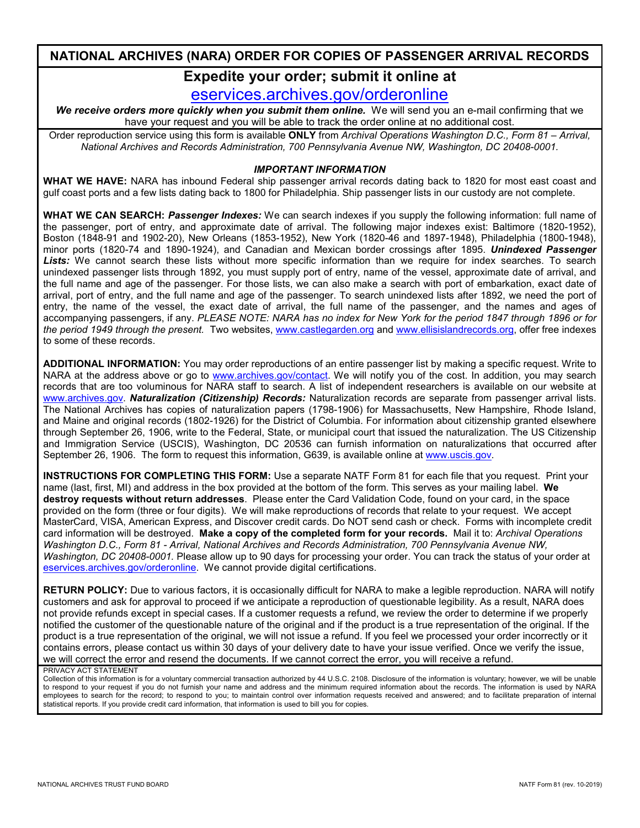## **NATIONAL ARCHIVES (NARA) ORDER FOR COPIES OF PASSENGER ARRIVAL RECORDS**

## **Expedite your order; submit it online at**

[eservices.archives.gov/orderonline](http://eservices.archives.gov/orderonline) 

 *We receive orders more quickly when you submit them online.* We will send you an e-mail confirming that we have your request and you will be able to track the order online at no additional cost.

 Order reproduction service using this form is available **ONLY** from *Archival Operations Washington D.C., Form 81 – Arrival, National Archives and Records Administration, 700 Pennsylvania Avenue NW, Washington, DC 20408-0001.* 

## *IMPORTANT INFORMATION*

 **WHAT WE HAVE:** NARA has inbound Federal ship passenger arrival records dating back to 1820 for most east coast and gulf coast ports and a few lists dating back to 1800 for Philadelphia. Ship passenger lists in our custody are not complete.

 **WHAT WE CAN SEARCH:** *Passenger Indexes:* We can search indexes if you supply the following information: full name of the passenger, port of entry, and approximate date of arrival. The following major indexes exist: Baltimore (1820-1952), Boston (1848-91 and 1902-20), New Orleans (1853-1952), New York (1820-46 and 1897-1948), Philadelphia (1800-1948), *Lists:* We cannot search these lists without more specific information than we require for index searches. To search the full name and age of the passenger. For those lists, we can also make a search with port of embarkation, exact date of  accompanying passengers, if any. *PLEASE NOTE: NARA has no index for New York for the period 1847 through 1896 or for the period 1949 through the present.* Two websites, [www.castlegarden.org](http://www.castlegarden.org/) and [www.ellisislandrecords.org,](http://www.ellisislandrecords.org/) offer free indexes to some of these records. minor ports (1820-74 and 1890-1924), and Canadian and Mexican border crossings after 1895. *Unindexed Passenger*  unindexed passenger lists through 1892, you must supply port of entry, name of the vessel, approximate date of arrival, and arrival, port of entry, and the full name and age of the passenger. To search unindexed lists after 1892, we need the port of entry, the name of the vessel, the exact date of arrival, the full name of the passenger, and the names and ages of

 **ADDITIONAL INFORMATION:** You may order reproductions of an entire passenger list by making a specific request. Write to records that are too voluminous for NARA staff to search. A list of independent researchers is available on our website at [www.archives.gov.](http://www.archives.gov/) *Naturalization (Citizenship) Records:* Naturalization records are separate from passenger arrival lists. The National Archives has copies of naturalization papers (1798-1906) for Massachusetts, New Hampshire, Rhode Island, and Maine and original records (1802-1926) for the District of Columbia. For information about citizenship granted elsewhere through September 26, 1906, write to the Federal, State, or municipal court that issued the naturalization. The US Citizenship and Immigration Service (USCIS), Washington, DC 20536 can furnish information on naturalizations that occurred after September 26, 1906. The form to request this information, G639, is available online at <u>www.uscis.gov</u>. NARA at the address above or go to [www.archives.gov/contact.](http://www.archives.gov/contact) We will notify you of the cost. In addition, you may search

 **INSTRUCTIONS FOR COMPLETING THIS FORM:** Use a separate NATF Form 81 for each file that you request. Print your name (last, first, MI) and address in the box provided at the bottom of the form. This serves as your mailing label. **We destroy requests without return addresses**. Please enter the Card Validation Code, found on your card, in the space provided on the form (three or four digits). We will make reproductions of records that relate to your request. We accept MasterCard, VISA, American Express, and Discover credit cards. Do NOT send cash or check. Forms with incomplete credit card information will be destroyed. **Make a copy of the completed form for your records.** Mail it to: *Archival Operations Washington D.C., Form 81 - Arrival, National Archives and Records Administration, 700 Pennsylvania Avenue NW, Washington, DC 20408-0001.* Please allow up to 90 days for processing your order. You can track the status of your order at eservices.archives.gov/orderonline</u>. We cannot provide digital certifications.

 **RETURN POLICY:** Due to various factors, it is occasionally difficult for NARA to make a legible reproduction. NARA will notify customers and ask for approval to proceed if we anticipate a reproduction of questionable legibility. As a result, NARA does not provide refunds except in special cases. If a customer requests a refund, we review the order to determine if we properly notified the customer of the questionable nature of the original and if the product is a true representation of the original. If the product is a true representation of the original, we will not issue a refund. If you feel we processed your order incorrectly or it contains errors, please contact us within 30 days of your delivery date to have your issue verified. Once we verify the issue, we will correct the error and resend the documents. If we cannot correct the error, you will receive a refund.

## PRIVACY ACT STATEMENT

 Collection of this information is for a voluntary commercial transaction authorized by 44 U.S.C. 2108. Disclosure of the information is voluntary; however, we will be unable to respond to your request if you do not furnish your name and address and the minimum required information about the records. The information is used by NARA employees to search for the record; to respond to you; to maintain control over information requests received and answered; and to facilitate preparation of internal statistical reports. If you provide credit card information, that information is used to bill you for copies.